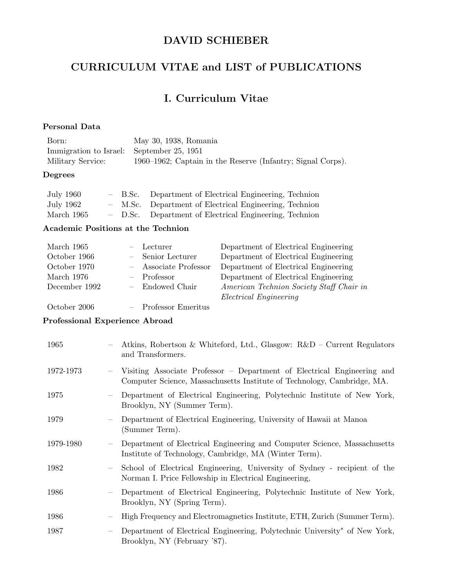# DAVID SCHIEBER

# CURRICULUM VITAE and LIST of PUBLICATIONS

# I. Curriculum Vitae

### Personal Data

| Born:                                     | May 30, 1938, Romania                                       |
|-------------------------------------------|-------------------------------------------------------------|
| Immigration to Israel: September 25, 1951 |                                                             |
| Military Service:                         | 1960–1962; Captain in the Reserve (Infantry; Signal Corps). |

### Degrees

| <b>July 1960</b> |  | - B.Sc. Department of Electrical Engineering, Technion |
|------------------|--|--------------------------------------------------------|
| July 1962        |  | - M.Sc. Department of Electrical Engineering, Technion |
| March 1965       |  | - D.Sc. Department of Electrical Engineering, Technion |

### Academic Positions at the Technion

| March 1965    | - Lecturer            | Department of Electrical Engineering     |
|---------------|-----------------------|------------------------------------------|
| October 1966  | - Senior Lecturer     | Department of Electrical Engineering     |
| October 1970  | - Associate Professor | Department of Electrical Engineering     |
| March 1976    | $-$ Professor         | Department of Electrical Engineering     |
| December 1992 | - Endowed Chair       | American Technion Society Staff Chair in |
|               |                       | <i>Electrical Engineering</i>            |
| October 2006  | - Professor Emeritus  |                                          |

#### Professional Experience Abroad

| 1965      |                          | Atkins, Robertson & Whiteford, Ltd., Glasgow: $R\&D$ – Current Regulators<br>and Transformers.                                                     |
|-----------|--------------------------|----------------------------------------------------------------------------------------------------------------------------------------------------|
| 1972-1973 | $\overline{\phantom{0}}$ | Visiting Associate Professor – Department of Electrical Engineering and<br>Computer Science, Massachusetts Institute of Technology, Cambridge, MA. |
| 1975      | $\overline{\phantom{m}}$ | Department of Electrical Engineering, Polytechnic Institute of New York,<br>Brooklyn, NY (Summer Term).                                            |
| 1979      | $\overline{\phantom{0}}$ | Department of Electrical Engineering, University of Hawaii at Manoa<br>(Summer Term).                                                              |
| 1979-1980 | $\overline{\phantom{m}}$ | Department of Electrical Engineering and Computer Science, Massachusetts<br>Institute of Technology, Cambridge, MA (Winter Term).                  |
| 1982      | $\overline{\phantom{m}}$ | School of Electrical Engineering, University of Sydney - recipient of the<br>Norman I. Price Fellowship in Electrical Engineering,                 |
| 1986      | $\overline{\phantom{m}}$ | Department of Electrical Engineering, Polytechnic Institute of New York,<br>Brooklyn, NY (Spring Term).                                            |
| 1986      | $\overline{\phantom{m}}$ | High Frequency and Electromagnetics Institute, ETH, Zurich (Summer Term).                                                                          |
| 1987      | $\overline{\phantom{m}}$ | Department of Electrical Engineering, Polytechnic University* of New York,<br>Brooklyn, NY (February '87).                                         |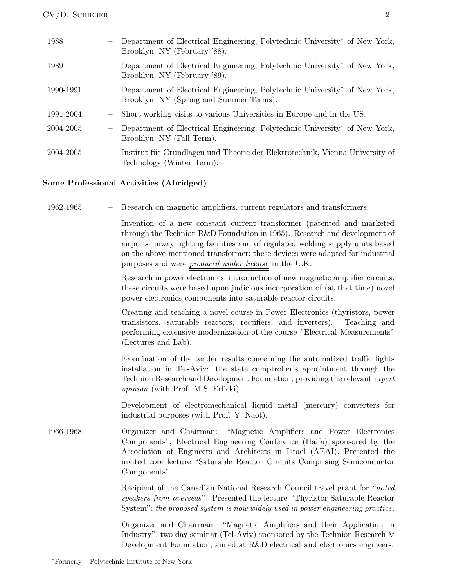| 1988      |                          | Department of Electrical Engineering, Polytechnic University* of New York,<br>Brooklyn, NY (February '88).                        |
|-----------|--------------------------|-----------------------------------------------------------------------------------------------------------------------------------|
| 1989      |                          | Department of Electrical Engineering, Polytechnic University <sup>*</sup> of New York,<br>Brooklyn, NY (February '89).            |
| 1990-1991 |                          | Department of Electrical Engineering, Polytechnic University <sup>*</sup> of New York,<br>Brooklyn, NY (Spring and Summer Terms). |
| 1991-2004 | $\overline{\phantom{0}}$ | Short working visits to various Universities in Europe and in the US.                                                             |
| 2004-2005 | $\overline{\phantom{0}}$ | Department of Electrical Engineering, Polytechnic University <sup>*</sup> of New York,<br>Brooklyn, NY (Fall Term).               |
| 2004-2005 | $\overline{\phantom{0}}$ | Institut für Grundlagen und Theorie der Elektrotechnik, Vienna University of<br>Technology (Winter Term).                         |

### Some Professional Activities (Abridged)

| 1962-1965 |  |  |  | Research on magnetic amplifiers, current regulators and transformers. |
|-----------|--|--|--|-----------------------------------------------------------------------|
|           |  |  |  |                                                                       |

Invention of a new constant current transformer (patented and marketed through the Technion R&D Foundation in 1965). Research and development of airport-runway lighting facilities and of regulated welding supply units based on the above-mentioned transformer; these devices were adapted for industrial purposes and were produced under license in the U.K.

Research in power electronics; introduction of new magnetic amplifier circuits; these circuits were based upon judicious incorporation of (at that time) novel power electronics components into saturable reactor circuits.

Creating and teaching a novel course in Power Electronics (thyristors, power transistors, saturable reactors, rectifiers, and inverters). Teaching and performing extensive modernization of the course "Electrical Measurements" (Lectures and Lab).

Examination of the tender results concerning the automatized traffic lights installation in Tel-Aviv: the state comptroller's appointment through the Technion Research and Development Foundation; providing the relevant expert opinion (with Prof. M.S. Erlicki).

Development of electromechanical liquid metal (mercury) converters for industrial purposes (with Prof. Y. Naot).

1966-1968 – Organizer and Chairman: "Magnetic Amplifiers and Power Electronics Components", Electrical Engineering Conference (Haifa) sponsored by the Association of Engineers and Architects in Israel (AEAI). Presented the invited core lecture "Saturable Reactor Circuits Comprising Semiconductor Components".

> Recipient of the Canadian National Research Council travel grant for "noted speakers from overseas". Presented the lecture "Thyristor Saturable Reactor System"; the proposed system is now widely used in power engineering practice.

> Organizer and Chairman: "Magnetic Amplifiers and their Application in Industry", two day seminar (Tel-Aviv) sponsored by the Technion Research  $\&$ Development Foundation; aimed at R&D electrical and electronics engineers.

<sup>∗</sup>Formerly – Polytechnic Institute of New York.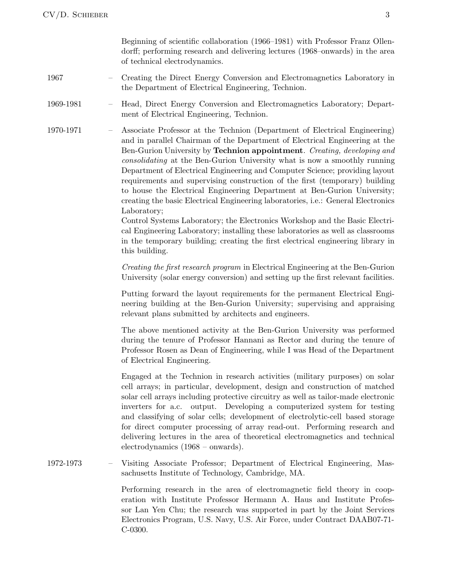Beginning of scientific collaboration (1966–1981) with Professor Franz Ollendorff; performing research and delivering lectures (1968–onwards) in the area of technical electrodynamics.

- 1967 Creating the Direct Energy Conversion and Electromagnetics Laboratory in the Department of Electrical Engineering, Technion.
- 1969-1981 Head, Direct Energy Conversion and Electromagnetics Laboratory; Department of Electrical Engineering, Technion.
- 1970-1971 Associate Professor at the Technion (Department of Electrical Engineering) and in parallel Chairman of the Department of Electrical Engineering at the Ben-Gurion University by Technion appointment. Creating, developing and consolidating at the Ben-Gurion University what is now a smoothly running Department of Electrical Engineering and Computer Science; providing layout requirements and supervising construction of the first (temporary) building to house the Electrical Engineering Department at Ben-Gurion University; creating the basic Electrical Engineering laboratories, i.e.: General Electronics Laboratory;

Control Systems Laboratory; the Electronics Workshop and the Basic Electrical Engineering Laboratory; installing these laboratories as well as classrooms in the temporary building; creating the first electrical engineering library in this building.

Creating the first research program in Electrical Engineering at the Ben-Gurion University (solar energy conversion) and setting up the first relevant facilities.

Putting forward the layout requirements for the permanent Electrical Engineering building at the Ben-Gurion University; supervising and appraising relevant plans submitted by architects and engineers.

The above mentioned activity at the Ben-Gurion University was performed during the tenure of Professor Hannani as Rector and during the tenure of Professor Rosen as Dean of Engineering, while I was Head of the Department of Electrical Engineering.

Engaged at the Technion in research activities (military purposes) on solar cell arrays; in particular, development, design and construction of matched solar cell arrays including protective circuitry as well as tailor-made electronic inverters for a.c. output. Developing a computerized system for testing and classifying of solar cells; development of electrolytic-cell based storage for direct computer processing of array read-out. Performing research and delivering lectures in the area of theoretical electromagnetics and technical electrodynamics (1968 – onwards).

1972-1973 – Visiting Associate Professor; Department of Electrical Engineering, Massachusetts Institute of Technology, Cambridge, MA.

> Performing research in the area of electromagnetic field theory in cooperation with Institute Professor Hermann A. Haus and Institute Professor Lan Yen Chu; the research was supported in part by the Joint Services Electronics Program, U.S. Navy, U.S. Air Force, under Contract DAAB07-71- C-0300.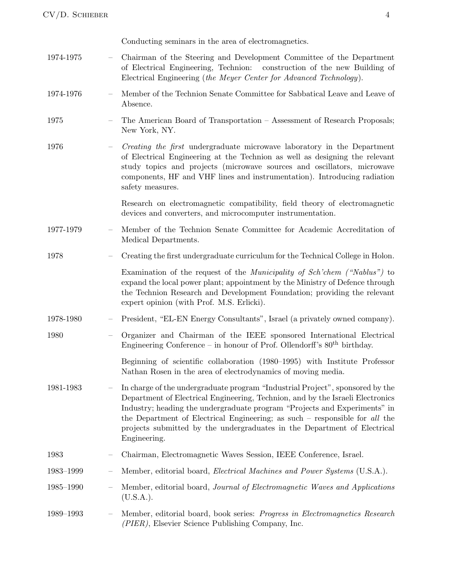|           |                          | Conducting seminars in the area of electromagnetics.                                                                                                                                                                                                                                                                                                                                                                             |
|-----------|--------------------------|----------------------------------------------------------------------------------------------------------------------------------------------------------------------------------------------------------------------------------------------------------------------------------------------------------------------------------------------------------------------------------------------------------------------------------|
| 1974-1975 |                          | Chairman of the Steering and Development Committee of the Department<br>of Electrical Engineering, Technion: construction of the new Building of<br>Electrical Engineering (the Meyer Center for Advanced Technology).                                                                                                                                                                                                           |
| 1974-1976 |                          | Member of the Technion Senate Committee for Sabbatical Leave and Leave of<br>Absence.                                                                                                                                                                                                                                                                                                                                            |
| 1975      |                          | The American Board of Transportation - Assessment of Research Proposals;<br>New York, NY.                                                                                                                                                                                                                                                                                                                                        |
| 1976      |                          | <i>Creating the first</i> undergraduate microwave laboratory in the Department<br>of Electrical Engineering at the Technion as well as designing the relevant<br>study topics and projects (microwave sources and oscillators, microwave<br>components, HF and VHF lines and instrumentation). Introducing radiation<br>safety measures.                                                                                         |
|           |                          | Research on electromagnetic compatibility, field theory of electromagnetic<br>devices and converters, and microcomputer instrumentation.                                                                                                                                                                                                                                                                                         |
| 1977-1979 | $\overline{\phantom{m}}$ | Member of the Technion Senate Committee for Academic Accreditation of<br>Medical Departments.                                                                                                                                                                                                                                                                                                                                    |
| 1978      |                          | Creating the first undergraduate curriculum for the Technical College in Holon.                                                                                                                                                                                                                                                                                                                                                  |
|           |                          | Examination of the request of the <i>Municipality of Sch'chem</i> ("Nablus") to<br>expand the local power plant; appointment by the Ministry of Defence through<br>the Technion Research and Development Foundation; providing the relevant<br>expert opinion (with Prof. M.S. Erlicki).                                                                                                                                         |
| 1978-1980 |                          | President, "EL-EN Energy Consultants", Israel (a privately owned company).                                                                                                                                                                                                                                                                                                                                                       |
| 1980      |                          | Organizer and Chairman of the IEEE sponsored International Electrical<br>Engineering Conference – in honour of Prof. Ollendorff's $80th$ birthday.                                                                                                                                                                                                                                                                               |
|           |                          | Beginning of scientific collaboration (1980–1995) with Institute Professor<br>Nathan Rosen in the area of electrodynamics of moving media.                                                                                                                                                                                                                                                                                       |
| 1981-1983 |                          | In charge of the undergraduate program "Industrial Project", sponsored by the<br>Department of Electrical Engineering, Technion, and by the Israeli Electronics<br>Industry; heading the undergraduate program "Projects and Experiments" in<br>the Department of Electrical Engineering; as such $-$ responsible for <i>all</i> the<br>projects submitted by the undergraduates in the Department of Electrical<br>Engineering. |
| 1983      |                          | Chairman, Electromagnetic Waves Session, IEEE Conference, Israel.                                                                                                                                                                                                                                                                                                                                                                |
| 1983-1999 |                          | Member, editorial board, <i>Electrical Machines and Power Systems</i> (U.S.A.).                                                                                                                                                                                                                                                                                                                                                  |
| 1985-1990 |                          | Member, editorial board, Journal of Electromagnetic Waves and Applications<br>$(U.S.A.)$ .                                                                                                                                                                                                                                                                                                                                       |
| 1989-1993 |                          | Member, editorial board, book series: <i>Progress in Electromagnetics Research</i><br>(PIER), Elsevier Science Publishing Company, Inc.                                                                                                                                                                                                                                                                                          |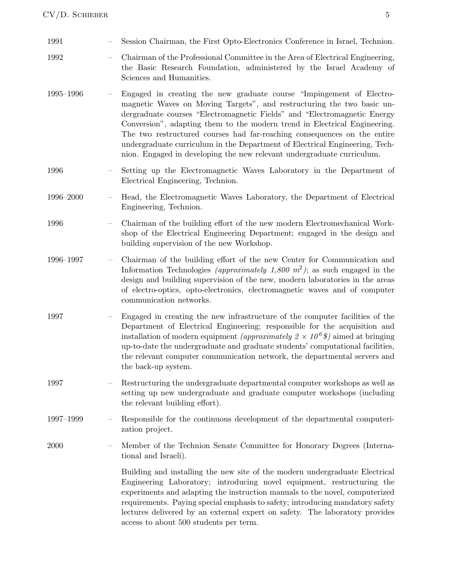| 1991      |                   | Session Chairman, the First Opto-Electronics Conference in Israel, Technion.                                                                                                                                                                                                                                                                                                                                                                                                                                                                 |
|-----------|-------------------|----------------------------------------------------------------------------------------------------------------------------------------------------------------------------------------------------------------------------------------------------------------------------------------------------------------------------------------------------------------------------------------------------------------------------------------------------------------------------------------------------------------------------------------------|
| 1992      |                   | Chairman of the Professional Committee in the Area of Electrical Engineering,<br>the Basic Research Foundation, administered by the Israel Academy of<br>Sciences and Humanities.                                                                                                                                                                                                                                                                                                                                                            |
| 1995-1996 |                   | Engaged in creating the new graduate course "Impingement of Electro-<br>magnetic Waves on Moving Targets", and restructuring the two basic un-<br>dergraduate courses "Electromagnetic Fields" and "Electromagnetic Energy<br>Conversion", adapting them to the modern trend in Electrical Engineering.<br>The two restructured courses had far-reaching consequences on the entire<br>undergraduate curriculum in the Department of Electrical Engineering, Tech-<br>nion. Engaged in developing the new relevant undergraduate curriculum. |
| 1996      |                   | Setting up the Electromagnetic Waves Laboratory in the Department of<br>Electrical Engineering, Technion.                                                                                                                                                                                                                                                                                                                                                                                                                                    |
| 1996-2000 |                   | Head, the Electromagnetic Waves Laboratory, the Department of Electrical<br>Engineering, Technion.                                                                                                                                                                                                                                                                                                                                                                                                                                           |
| 1996      |                   | Chairman of the building effort of the new modern Electromechanical Work-<br>shop of the Electrical Engineering Department; engaged in the design and<br>building supervision of the new Workshop.                                                                                                                                                                                                                                                                                                                                           |
| 1996-1997 |                   | Chairman of the building effort of the new Center for Communication and<br>Information Technologies <i>(approximately 1,800 m<sup>2</sup>)</i> ; as such engaged in the<br>design and building supervision of the new, modern laboratories in the areas<br>of electro-optics, opto-electronics, electromagnetic waves and of computer<br>communication networks.                                                                                                                                                                             |
| 1997      |                   | Engaged in creating the new infrastructure of the computer facilities of the<br>Department of Electrical Engineering; responsible for the acquisition and<br>installation of modern equipment <i>(approximately 2 <math>\times</math> 10<sup>6</sup> \$)</i> aimed at bringing<br>up-to-date the undergraduate and graduate students' computational facilities,<br>the relevant computer communication network, the departmental servers and<br>the back-up system.                                                                          |
| 1997      |                   | Restructuring the undergraduate departmental computer workshops as well as<br>setting up new undergraduate and graduate computer workshops (including<br>the relevant building effort).                                                                                                                                                                                                                                                                                                                                                      |
| 1997-1999 |                   | Responsible for the continuous development of the departmental computeri-<br>zation project.                                                                                                                                                                                                                                                                                                                                                                                                                                                 |
| 2000      | $\qquad \qquad -$ | Member of the Technion Senate Committee for Honorary Degrees (Interna-<br>tional and Israeli).                                                                                                                                                                                                                                                                                                                                                                                                                                               |
|           |                   | Building and installing the new site of the modern undergraduate Electrical<br>Engineering Laboratory; introducing novel equipment, restructuring the<br>experiments and adapting the instruction manuals to the novel, computerized<br>requirements. Paying special emphasis to safety; introducing mandatory safety<br>lectures delivered by an external expert on safety. The laboratory provides<br>access to about 500 students per term.                                                                                               |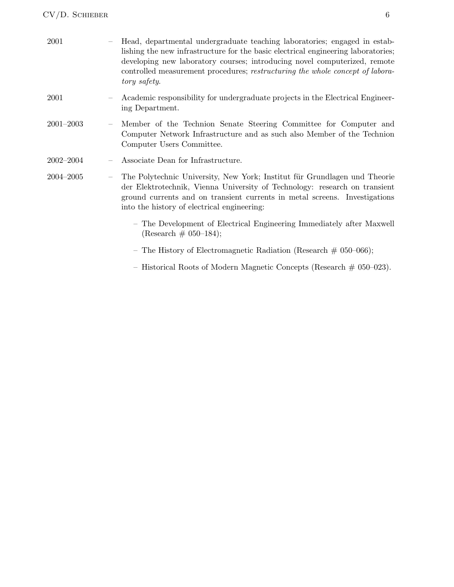CV/D. SCHIEBER 6

| 2001          |                          | Head, departmental undergraduate teaching laboratories; engaged in estab-<br>lishing the new infrastructure for the basic electrical engineering laboratories;<br>developing new laboratory courses; introducing novel computerized, remote<br>controlled measurement procedures; restructuring the whole concept of labora-<br>tory safety. |
|---------------|--------------------------|----------------------------------------------------------------------------------------------------------------------------------------------------------------------------------------------------------------------------------------------------------------------------------------------------------------------------------------------|
| 2001          |                          | Academic responsibility for undergraduate projects in the Electrical Engineer-<br>ing Department.                                                                                                                                                                                                                                            |
| $2001 - 2003$ | $\overline{\phantom{m}}$ | Member of the Technion Senate Steering Committee for Computer and<br>Computer Network Infrastructure and as such also Member of the Technion<br>Computer Users Committee.                                                                                                                                                                    |
| $2002 - 2004$ |                          | Associate Dean for Infrastructure.                                                                                                                                                                                                                                                                                                           |
| 2004-2005     |                          | The Polytechnic University, New York; Institut für Grundlagen und Theorie<br>der Elektrotechnik, Vienna University of Technology: research on transient<br>ground currents and on transient currents in metal screens. Investigations<br>into the history of electrical engineering:                                                         |
|               |                          | - The Development of Electrical Engineering Immediately after Maxwell<br>(Research $\#$ 050-184);                                                                                                                                                                                                                                            |
|               |                          | - The History of Electromagnetic Radiation (Research $\#$ 050-066);                                                                                                                                                                                                                                                                          |
|               |                          | - Historical Roots of Modern Magnetic Concepts (Research $\#$ 050-023).                                                                                                                                                                                                                                                                      |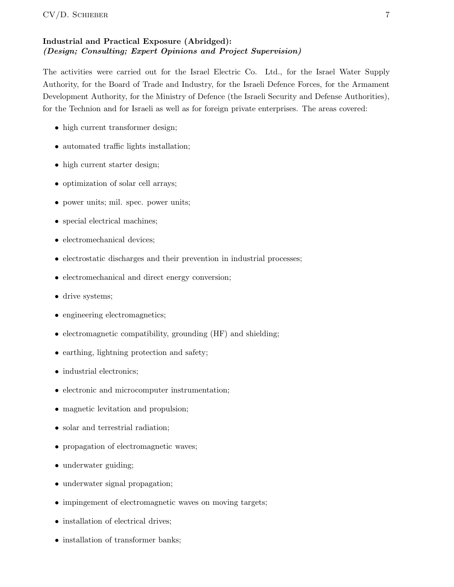### Industrial and Practical Exposure (Abridged): (Design; Consulting; Expert Opinions and Project Supervision)

The activities were carried out for the Israel Electric Co. Ltd., for the Israel Water Supply Authority, for the Board of Trade and Industry, for the Israeli Defence Forces, for the Armament Development Authority, for the Ministry of Defence (the Israeli Security and Defense Authorities), for the Technion and for Israeli as well as for foreign private enterprises. The areas covered:

- high current transformer design;
- automated traffic lights installation;
- high current starter design;
- optimization of solar cell arrays;
- power units; mil. spec. power units;
- special electrical machines;
- electromechanical devices;
- electrostatic discharges and their prevention in industrial processes;
- electromechanical and direct energy conversion;
- drive systems;
- engineering electromagnetics;
- electromagnetic compatibility, grounding (HF) and shielding;
- earthing, lightning protection and safety;
- industrial electronics;
- electronic and microcomputer instrumentation;
- magnetic levitation and propulsion;
- solar and terrestrial radiation;
- propagation of electromagnetic waves;
- underwater guiding;
- underwater signal propagation;
- impingement of electromagnetic waves on moving targets;
- installation of electrical drives;
- installation of transformer banks;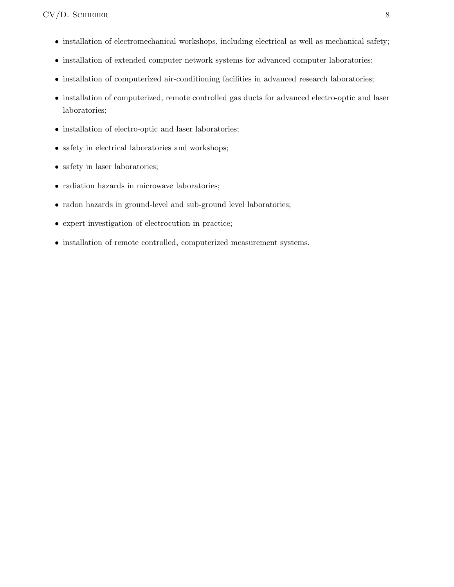- installation of electromechanical workshops, including electrical as well as mechanical safety;
- installation of extended computer network systems for advanced computer laboratories;
- installation of computerized air-conditioning facilities in advanced research laboratories;
- installation of computerized, remote controlled gas ducts for advanced electro-optic and laser laboratories;
- installation of electro-optic and laser laboratories;
- safety in electrical laboratories and workshops;
- safety in laser laboratories;
- radiation hazards in microwave laboratories;
- radon hazards in ground-level and sub-ground level laboratories;
- expert investigation of electrocution in practice;
- installation of remote controlled, computerized measurement systems.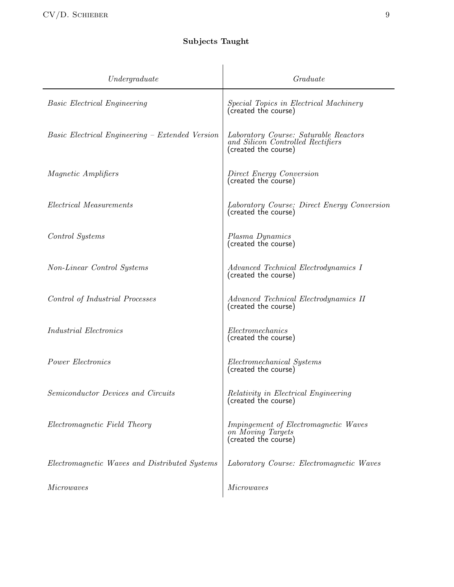# Subjects Taught

| Under graduate                                         | Graduate                                                                                           |
|--------------------------------------------------------|----------------------------------------------------------------------------------------------------|
| <b>Basic Electrical Engineering</b>                    | <i>Special Topics in Electrical Machinery</i><br>(created the course)                              |
| <i>Basic Electrical Engineering – Extended Version</i> | Laboratory Course: Saturable Reactors<br>and Silicon Controlled Rectifiers<br>(created the course) |
| <i>Magnetic Amplifiers</i>                             | Direct Energy Conversion<br>(created the course)                                                   |
| <i>Electrical Measurements</i>                         | Laboratory Course: Direct Energy Conversion<br>(created the course)                                |
| Control Systems                                        | Plasma Dynamics<br>(created the course)                                                            |
| Non-Linear Control Systems                             | Advanced Technical Electrodynamics I<br>(created the course)                                       |
| Control of Industrial Processes                        | Advanced Technical Electrodynamics II<br>(created the course)                                      |
| <i>Industrial Electronics</i>                          | Electromechanics<br>(created the course)                                                           |
| Power Electronics                                      | Electromechanical Systems<br>(created the course)                                                  |
| Semiconductor Devices and Circuits                     | <i>Relativity in Electrical Engineering</i><br>(created the course)                                |
| Electromagnetic Field Theory                           | Impingement of Electromagnetic Waves<br>on Moving Targets<br>(created the course)                  |
| Electromagnetic Waves and Distributed Systems          | Laboratory Course: Electromagnetic Waves                                                           |
| <i>Microwaves</i>                                      | <i>Microwaves</i>                                                                                  |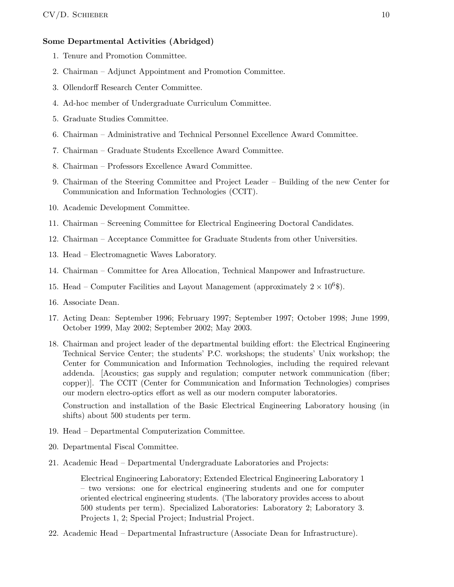### Some Departmental Activities (Abridged)

- 1. Tenure and Promotion Committee.
- 2. Chairman Adjunct Appointment and Promotion Committee.
- 3. Ollendorff Research Center Committee.
- 4. Ad-hoc member of Undergraduate Curriculum Committee.
- 5. Graduate Studies Committee.
- 6. Chairman Administrative and Technical Personnel Excellence Award Committee.
- 7. Chairman Graduate Students Excellence Award Committee.
- 8. Chairman Professors Excellence Award Committee.
- 9. Chairman of the Steering Committee and Project Leader Building of the new Center for Communication and Information Technologies (CCIT).
- 10. Academic Development Committee.
- 11. Chairman Screening Committee for Electrical Engineering Doctoral Candidates.
- 12. Chairman Acceptance Committee for Graduate Students from other Universities.
- 13. Head Electromagnetic Waves Laboratory.
- 14. Chairman Committee for Area Allocation, Technical Manpower and Infrastructure.
- 15. Head Computer Facilities and Layout Management (approximately  $2 \times 10^6$ \$).
- 16. Associate Dean.
- 17. Acting Dean: September 1996; February 1997; September 1997; October 1998; June 1999, October 1999, May 2002; September 2002; May 2003.
- 18. Chairman and project leader of the departmental building effort: the Electrical Engineering Technical Service Center; the students' P.C. workshops; the students' Unix workshop; the Center for Communication and Information Technologies, including the required relevant addenda. [Acoustics; gas supply and regulation; computer network communication (fiber; copper)]. The CCIT (Center for Communication and Information Technologies) comprises our modern electro-optics effort as well as our modern computer laboratories.

Construction and installation of the Basic Electrical Engineering Laboratory housing (in shifts) about 500 students per term.

- 19. Head Departmental Computerization Committee.
- 20. Departmental Fiscal Committee.
- 21. Academic Head Departmental Undergraduate Laboratories and Projects:

Electrical Engineering Laboratory; Extended Electrical Engineering Laboratory 1 – two versions: one for electrical engineering students and one for computer oriented electrical engineering students. (The laboratory provides access to about 500 students per term). Specialized Laboratories: Laboratory 2; Laboratory 3. Projects 1, 2; Special Project; Industrial Project.

22. Academic Head – Departmental Infrastructure (Associate Dean for Infrastructure).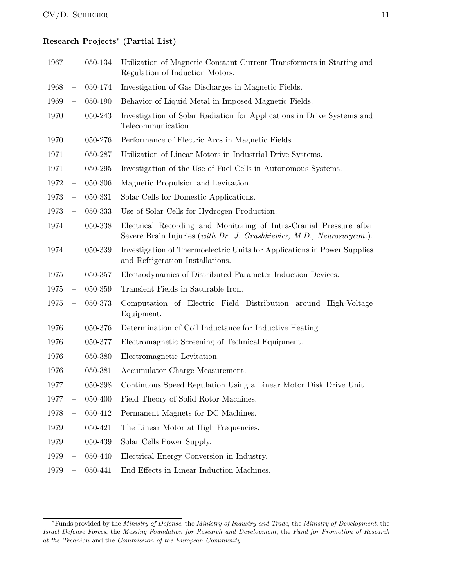## Research Projects<sup>∗</sup> (Partial List)

| 1967 |                          | 050-134 | Utilization of Magnetic Constant Current Transformers in Starting and<br>Regulation of Induction Motors.                                      |
|------|--------------------------|---------|-----------------------------------------------------------------------------------------------------------------------------------------------|
| 1968 | $\overline{\phantom{0}}$ | 050-174 | Investigation of Gas Discharges in Magnetic Fields.                                                                                           |
| 1969 | $\overline{\phantom{0}}$ | 050-190 | Behavior of Liquid Metal in Imposed Magnetic Fields.                                                                                          |
| 1970 | $\overline{\phantom{0}}$ | 050-243 | Investigation of Solar Radiation for Applications in Drive Systems and<br>Telecommunication.                                                  |
| 1970 | $\qquad \qquad -$        | 050-276 | Performance of Electric Arcs in Magnetic Fields.                                                                                              |
| 1971 | $\equiv$                 | 050-287 | Utilization of Linear Motors in Industrial Drive Systems.                                                                                     |
| 1971 | $\equiv$                 | 050-295 | Investigation of the Use of Fuel Cells in Autonomous Systems.                                                                                 |
| 1972 | $\equiv$                 | 050-306 | Magnetic Propulsion and Levitation.                                                                                                           |
| 1973 | $\overline{\phantom{0}}$ | 050-331 | Solar Cells for Domestic Applications.                                                                                                        |
| 1973 | $\overline{\phantom{0}}$ | 050-333 | Use of Solar Cells for Hydrogen Production.                                                                                                   |
| 1974 | $\equiv$                 | 050-338 | Electrical Recording and Monitoring of Intra-Cranial Pressure after<br>Severe Brain Injuries (with Dr. J. Grushkievicz, M.D., Neurosurgeon.). |
| 1974 | $\overline{\phantom{0}}$ | 050-339 | Investigation of Thermoelectric Units for Applications in Power Supplies<br>and Refrigeration Installations.                                  |
| 1975 | $\overline{\phantom{0}}$ | 050-357 | Electrodynamics of Distributed Parameter Induction Devices.                                                                                   |
| 1975 | $\overline{\phantom{0}}$ | 050-359 | Transient Fields in Saturable Iron.                                                                                                           |
| 1975 | $\overline{\phantom{0}}$ | 050-373 | Computation of Electric Field Distribution around High-Voltage<br>Equipment.                                                                  |
| 1976 | $\overline{\phantom{0}}$ | 050-376 | Determination of Coil Inductance for Inductive Heating.                                                                                       |
| 1976 | $\overline{\phantom{0}}$ | 050-377 | Electromagnetic Screening of Technical Equipment.                                                                                             |
| 1976 | $\equiv$                 | 050-380 | Electromagnetic Levitation.                                                                                                                   |
| 1976 | $\overline{\phantom{0}}$ | 050-381 | Accumulator Charge Measurement.                                                                                                               |
| 1977 | $\overline{\phantom{0}}$ | 050-398 | Continuous Speed Regulation Using a Linear Motor Disk Drive Unit.                                                                             |
| 1977 |                          | 050-400 | Field Theory of Solid Rotor Machines.                                                                                                         |
| 1978 |                          | 050-412 | Permanent Magnets for DC Machines.                                                                                                            |
| 1979 | $\overline{\phantom{0}}$ | 050-421 | The Linear Motor at High Frequencies.                                                                                                         |
| 1979 | $\overline{\phantom{0}}$ | 050-439 | Solar Cells Power Supply.                                                                                                                     |
| 1979 | $\overline{\phantom{0}}$ | 050-440 | Electrical Energy Conversion in Industry.                                                                                                     |
| 1979 |                          | 050-441 | End Effects in Linear Induction Machines.                                                                                                     |

<sup>∗</sup>Funds provided by the Ministry of Defense, the Ministry of Industry and Trade, the Ministry of Development, the Israel Defense Forces, the Messing Foundation for Research and Development, the Fund for Promotion of Research at the Technion and the Commission of the European Community.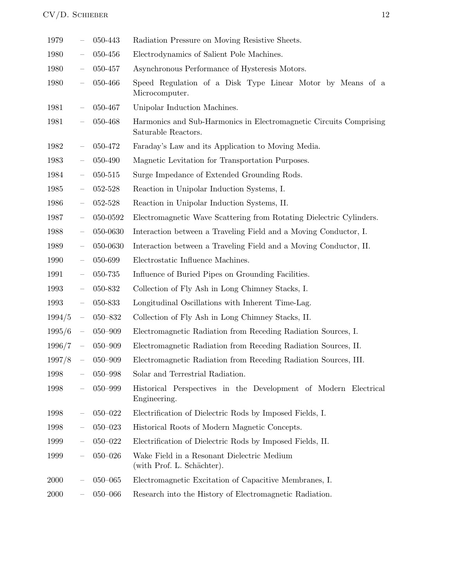| 1979   | —                        | 050-443     | Radiation Pressure on Moving Resistive Sheets.                                            |
|--------|--------------------------|-------------|-------------------------------------------------------------------------------------------|
| 1980   | $\overline{\phantom{0}}$ | 050-456     | Electrodynamics of Salient Pole Machines.                                                 |
| 1980   | $\qquad \qquad -$        | 050-457     | Asynchronous Performance of Hysteresis Motors.                                            |
| 1980   | $\overline{\phantom{0}}$ | 050-466     | Speed Regulation of a Disk Type Linear Motor by Means of a<br>Microcomputer.              |
| 1981   | $\overline{\phantom{0}}$ | 050-467     | Unipolar Induction Machines.                                                              |
| 1981   | $\equiv$                 | 050-468     | Harmonics and Sub-Harmonics in Electromagnetic Circuits Comprising<br>Saturable Reactors. |
| 1982   |                          | 050-472     | Faraday's Law and its Application to Moving Media.                                        |
| 1983   | $\qquad \qquad -$        | 050-490     | Magnetic Levitation for Transportation Purposes.                                          |
| 1984   | $\overline{\phantom{0}}$ | 050-515     | Surge Impedance of Extended Grounding Rods.                                               |
| 1985   | $\overline{\phantom{0}}$ | 052-528     | Reaction in Unipolar Induction Systems, I.                                                |
| 1986   | $\overline{\phantom{0}}$ | 052-528     | Reaction in Unipolar Induction Systems, II.                                               |
| 1987   |                          | 050-0592    | Electromagnetic Wave Scattering from Rotating Dielectric Cylinders.                       |
| 1988   | $\overline{\phantom{0}}$ | 050-0630    | Interaction between a Traveling Field and a Moving Conductor, I.                          |
| 1989   | $\overline{\phantom{0}}$ | 050-0630    | Interaction between a Traveling Field and a Moving Conductor, II.                         |
| 1990   | $\qquad \qquad -$        | 050-699     | Electrostatic Influence Machines.                                                         |
| 1991   | $\qquad \qquad -$        | 050-735     | Influence of Buried Pipes on Grounding Facilities.                                        |
| 1993   | $\qquad \qquad -$        | 050-832     | Collection of Fly Ash in Long Chimney Stacks, I.                                          |
| 1993   | $\overline{\phantom{0}}$ | 050-833     | Longitudinal Oscillations with Inherent Time-Lag.                                         |
| 1994/5 | $\qquad \qquad -$        | 050-832     | Collection of Fly Ash in Long Chimney Stacks, II.                                         |
| 1995/6 | $\equiv$                 | $050 - 909$ | Electromagnetic Radiation from Receding Radiation Sources, I.                             |
| 1996/7 | $\equiv$                 | $050 - 909$ | Electromagnetic Radiation from Receding Radiation Sources, II.                            |
| 1997/8 | $\equiv$                 | $050 - 909$ | Electromagnetic Radiation from Receding Radiation Sources, III.                           |
| 1998   |                          | $050 - 998$ | Solar and Terrestrial Radiation.                                                          |
| 1998   |                          | 050-999     | Historical Perspectives in the Development of Modern Electrical<br>Engineering.           |
| 1998   |                          | $050 - 022$ | Electrification of Dielectric Rods by Imposed Fields, I.                                  |
| 1998   |                          | $050 - 023$ | Historical Roots of Modern Magnetic Concepts.                                             |
| 1999   |                          | $050 - 022$ | Electrification of Dielectric Rods by Imposed Fields, II.                                 |
| 1999   |                          | $050 - 026$ | Wake Field in a Resonant Dielectric Medium<br>(with Prof. L. Schächter).                  |
| 2000   |                          | $050 - 065$ | Electromagnetic Excitation of Capacitive Membranes, I.                                    |
| 2000   |                          | $050 - 066$ | Research into the History of Electromagnetic Radiation.                                   |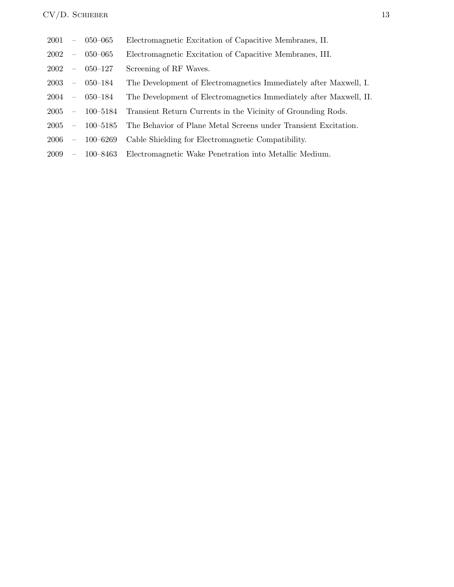| 2001 |                          | $-$ 050-065        | Electromagnetic Excitation of Capacitive Membranes, II.            |
|------|--------------------------|--------------------|--------------------------------------------------------------------|
| 2002 | $\overline{\phantom{m}}$ | $050 - 065$        | Electromagnetic Excitation of Capacitive Membranes, III.           |
|      |                          | $2002 - 050 - 127$ | Screening of RF Waves.                                             |
|      |                          | $2003 - 050 - 184$ | The Development of Electromagnetics Immediately after Maxwell, I.  |
| 2004 |                          | $-050 - 184$       | The Development of Electromagnetics Immediately after Maxwell, II. |
| 2005 |                          | $-100 - 5184$      | Transient Return Currents in the Vicinity of Grounding Rods.       |
| 2005 |                          | $-100 - 5185$      | The Behavior of Plane Metal Screens under Transient Excitation.    |
| 2006 | $\overline{\phantom{m}}$ | 100–6269           | Cable Shielding for Electromagnetic Compatibility.                 |
| 2009 | $\overline{\phantom{m}}$ | 100–8463           | Electromagnetic Wake Penetration into Metallic Medium.             |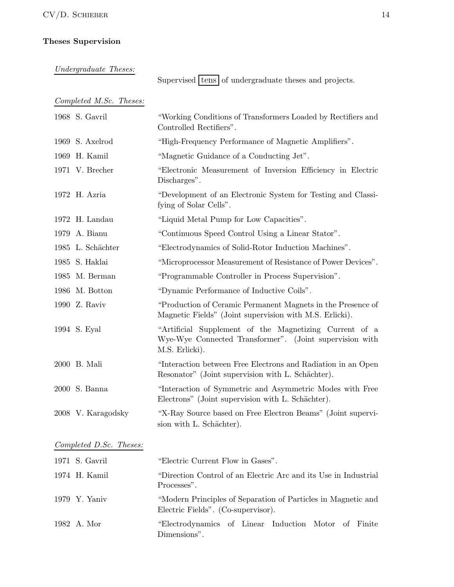### Theses Supervision

Undergraduate Theses:

Supervised  $\times$  of undergraduate theses and projects.

Completed M.Sc. Theses:

| 1968 S. Gavril     | "Working Conditions of Transformers Loaded by Rectifiers and<br>Controlled Rectifiers".                                             |
|--------------------|-------------------------------------------------------------------------------------------------------------------------------------|
| 1969 S. Axelrod    | "High-Frequency Performance of Magnetic Amplifiers".                                                                                |
| 1969 H. Kamil      | "Magnetic Guidance of a Conducting Jet".                                                                                            |
| 1971 V. Brecher    | "Electronic Measurement of Inversion Efficiency in Electric<br>Discharges".                                                         |
| 1972 H. Azria      | "Development of an Electronic System for Testing and Classi-<br>fying of Solar Cells".                                              |
| 1972 H. Landau     | "Liquid Metal Pump for Low Capacities".                                                                                             |
| 1979 A. Bianu      | "Continuous Speed Control Using a Linear Stator".                                                                                   |
| 1985 L. Schächter  | "Electrodynamics of Solid-Rotor Induction Machines".                                                                                |
| 1985 S. Haklai     | "Microprocessor Measurement of Resistance of Power Devices".                                                                        |
| 1985 M. Berman     | "Programmable Controller in Process Supervision".                                                                                   |
| 1986 M. Botton     | "Dynamic Performance of Inductive Coils".                                                                                           |
| 1990 Z. Raviv      | "Production of Ceramic Permanent Magnets in the Presence of<br>Magnetic Fields" (Joint supervision with M.S. Erlicki).              |
| 1994 S. Eyal       | "Artificial Supplement of the Magnetizing Current of a<br>Wye-Wye Connected Transformer". (Joint supervision with<br>M.S. Erlicki). |
| 2000 B. Mali       | "Interaction between Free Electrons and Radiation in an Open<br>Resonator" (Joint supervision with L. Schächter).                   |
| 2000 S. Banna      | "Interaction of Symmetric and Asymmetric Modes with Free<br>Electrons" (Joint supervision with L. Schächter).                       |
| 2008 V. Karagodsky | "X-Ray Source based on Free Electron Beams" (Joint supervi-<br>sion with L. Schächter).                                             |

### Completed D.Sc. Theses:

| 1971 S. Gavril | "Electric Current Flow in Gases".                                                                   |
|----------------|-----------------------------------------------------------------------------------------------------|
| 1974 H. Kamil  | "Direction Control of an Electric Arc and its Use in Industrial<br>Processes".                      |
| 1979 Y. Yaniv  | "Modern Principles of Separation of Particles in Magnetic and<br>Electric Fields". (Co-supervisor). |
| 1982 A. Mor    | "Electrodynamics of Linear Induction Motor of Finite<br>Dimensions".                                |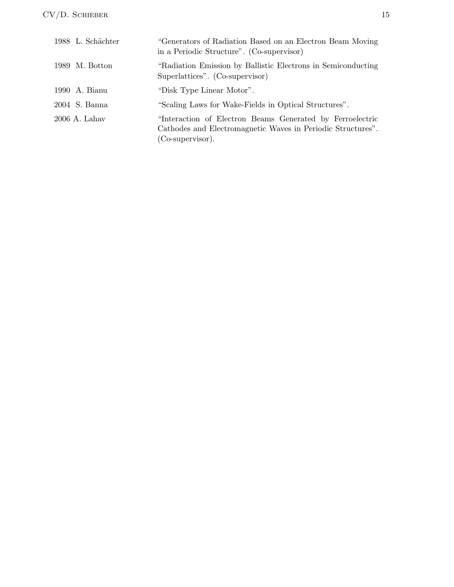| 1988 L. Schächter | "Generators of Radiation Based on an Electron Beam Moving<br>in a Periodic Structure". (Co-supervisor)                                       |
|-------------------|----------------------------------------------------------------------------------------------------------------------------------------------|
| 1989 M. Botton    | "Radiation Emission by Ballistic Electrons in Semiconducting"<br>Superlattices". (Co-supervisor)                                             |
| 1990 A. Bianu     | "Disk Type Linear Motor".                                                                                                                    |
| 2004 S. Banna     | "Scaling Laws for Wake-Fields in Optical Structures".                                                                                        |
| 2006 A. Lahav     | "Interaction of Electron Beams Generated by Ferroelectric<br>Cathodes and Electromagnetic Waves in Periodic Structures".<br>(Co-supervisor). |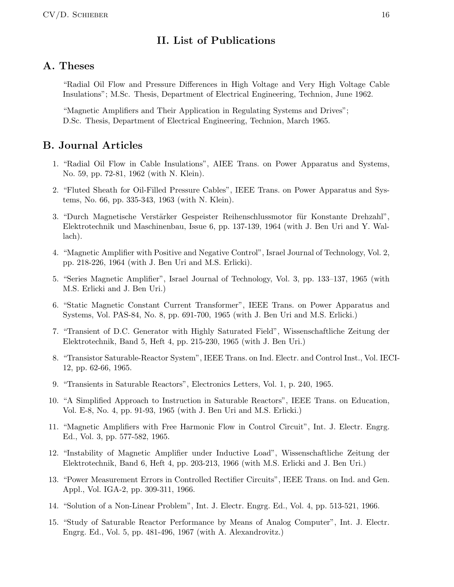## II. List of Publications

## A. Theses

"Radial Oil Flow and Pressure Differences in High Voltage and Very High Voltage Cable Insulations"; M.Sc. Thesis, Department of Electrical Engineering, Technion, June 1962.

"Magnetic Amplifiers and Their Application in Regulating Systems and Drives"; D.Sc. Thesis, Department of Electrical Engineering, Technion, March 1965.

## B. Journal Articles

- 1. "Radial Oil Flow in Cable Insulations", AIEE Trans. on Power Apparatus and Systems, No. 59, pp. 72-81, 1962 (with N. Klein).
- 2. "Fluted Sheath for Oil-Filled Pressure Cables", IEEE Trans. on Power Apparatus and Systems, No. 66, pp. 335-343, 1963 (with N. Klein).
- 3. "Durch Magnetische Verstärker Gespeister Reihenschlussmotor für Konstante Drehzahl", Elektrotechnik und Maschinenbau, Issue 6, pp. 137-139, 1964 (with J. Ben Uri and Y. Wallach).
- 4. "Magnetic Amplifier with Positive and Negative Control", Israel Journal of Technology, Vol. 2, pp. 218-226, 1964 (with J. Ben Uri and M.S. Erlicki).
- 5. "Series Magnetic Amplifier", Israel Journal of Technology, Vol. 3, pp. 133–137, 1965 (with M.S. Erlicki and J. Ben Uri.)
- 6. "Static Magnetic Constant Current Transformer", IEEE Trans. on Power Apparatus and Systems, Vol. PAS-84, No. 8, pp. 691-700, 1965 (with J. Ben Uri and M.S. Erlicki.)
- 7. "Transient of D.C. Generator with Highly Saturated Field", Wissenschaftliche Zeitung der Elektrotechnik, Band 5, Heft 4, pp. 215-230, 1965 (with J. Ben Uri.)
- 8. "Transistor Saturable-Reactor System", IEEE Trans. on Ind. Electr. and Control Inst., Vol. IECI-12, pp. 62-66, 1965.
- 9. "Transients in Saturable Reactors", Electronics Letters, Vol. 1, p. 240, 1965.
- 10. "A Simplified Approach to Instruction in Saturable Reactors", IEEE Trans. on Education, Vol. E-8, No. 4, pp. 91-93, 1965 (with J. Ben Uri and M.S. Erlicki.)
- 11. "Magnetic Amplifiers with Free Harmonic Flow in Control Circuit", Int. J. Electr. Engrg. Ed., Vol. 3, pp. 577-582, 1965.
- 12. "Instability of Magnetic Amplifier under Inductive Load", Wissenschaftliche Zeitung der Elektrotechnik, Band 6, Heft 4, pp. 203-213, 1966 (with M.S. Erlicki and J. Ben Uri.)
- 13. "Power Measurement Errors in Controlled Rectifier Circuits", IEEE Trans. on Ind. and Gen. Appl., Vol. IGA-2, pp. 309-311, 1966.
- 14. "Solution of a Non-Linear Problem", Int. J. Electr. Engrg. Ed., Vol. 4, pp. 513-521, 1966.
- 15. "Study of Saturable Reactor Performance by Means of Analog Computer", Int. J. Electr. Engrg. Ed., Vol. 5, pp. 481-496, 1967 (with A. Alexandrovitz.)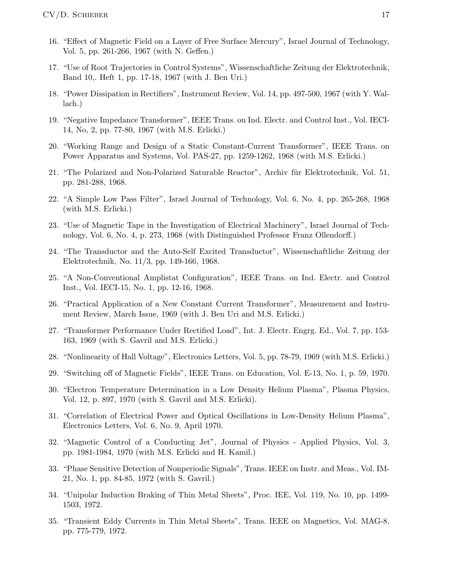- 16. "Effect of Magnetic Field on a Layer of Free Surface Mercury", Israel Journal of Technology, Vol. 5, pp. 261-266, 1967 (with N. Geffen.)
- 17. "Use of Root Trajectories in Control Systems", Wissenschaftliche Zeitung der Elektrotechnik, Band 10,. Heft 1, pp. 17-18, 1967 (with J. Ben Uri.)
- 18. "Power Dissipation in Rectifiers", Instrument Review, Vol. 14, pp. 497-500, 1967 (with Y. Wallach.)
- 19. "Negative Impedance Transformer", IEEE Trans. on Ind. Electr. and Control Inst., Vol. IECI-14, No, 2, pp. 77-80, 1967 (with M.S. Erlicki.)
- 20. "Working Range and Design of a Static Constant-Current Transformer", IEEE Trans. on Power Apparatus and Systems, Vol. PAS-27, pp. 1259-1262, 1968 (with M.S. Erlicki.)
- 21. "The Polarized and Non-Polarized Saturable Reactor", Archiv für Elektrotechnik, Vol. 51, pp. 281-288, 1968.
- 22. "A Simple Low Pass Filter", Israel Journal of Technology, Vol. 6, No. 4, pp. 265-268, 1968 (with M.S. Erlicki.)
- 23. "Use of Magnetic Tape in the Investigation of Electrical Machinery", Israel Journal of Technology, Vol. 6, No. 4, p. 273, 1968 (with Distinguished Professor Franz Ollendorff.)
- 24. "The Transductor and the Auto-Self Excited Transductor", Wissenschaftliche Zeitung der Elektrotechnik, No. 11/3, pp. 149-166, 1968.
- 25. "A Non-Conventional Amplistat Configuration", IEEE Trans. on Ind. Electr. and Control Inst., Vol. IECI-15, No. 1, pp. 12-16, 1968.
- 26. "Practical Application of a New Constant Current Transformer", Measurement and Instrument Review, March Issue, 1969 (with J. Ben Uri and M.S. Erlicki.)
- 27. "Transformer Performance Under Rectified Load", Int. J. Electr. Engrg. Ed., Vol. 7, pp. 153- 163, 1969 (with S. Gavril and M.S. Erlicki.)
- 28. "Nonlinearity of Hall Voltage", Electronics Letters, Vol. 5, pp. 78-79, 1969 (with M.S. Erlicki.)
- 29. "Switching off of Magnetic Fields", IEEE Trans. on Education, Vol. E-13, No. 1, p. 59, 1970.
- 30. "Electron Temperature Determination in a Low Density Helium Plasma", Plasma Physics, Vol. 12, p. 897, 1970 (with S. Gavril and M.S. Erlicki).
- 31. "Correlation of Electrical Power and Optical Oscillations in Low-Density Helium Plasma", Electronics Letters, Vol. 6, No. 9, April 1970.
- 32. "Magnetic Control of a Conducting Jet", Journal of Physics Applied Physics, Vol. 3, pp. 1981-1984, 1970 (with M.S. Erlicki and H. Kamil.)
- 33. "Phase Sensitive Detection of Nonperiodic Signals", Trans. IEEE on Instr. and Meas., Vol. IM-21, No. 1, pp. 84-85, 1972 (with S. Gavril.)
- 34. "Unipolar Induction Braking of Thin Metal Sheets", Proc. IEE, Vol. 119, No. 10, pp. 1499- 1503, 1972.
- 35. "Transient Eddy Currents in Thin Metal Sheets", Trans. IEEE on Magnetics, Vol. MAG-8, pp. 775-779, 1972.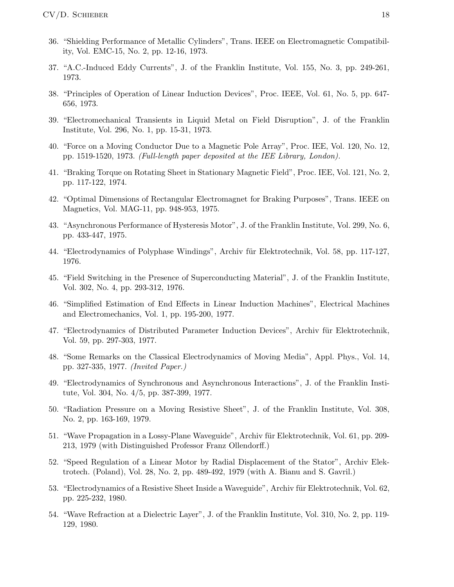- 36. "Shielding Performance of Metallic Cylinders", Trans. IEEE on Electromagnetic Compatibility, Vol. EMC-15, No. 2, pp. 12-16, 1973.
- 37. "A.C.-Induced Eddy Currents", J. of the Franklin Institute, Vol. 155, No. 3, pp. 249-261, 1973.
- 38. "Principles of Operation of Linear Induction Devices", Proc. IEEE, Vol. 61, No. 5, pp. 647- 656, 1973.
- 39. "Electromechanical Transients in Liquid Metal on Field Disruption", J. of the Franklin Institute, Vol. 296, No. 1, pp. 15-31, 1973.
- 40. "Force on a Moving Conductor Due to a Magnetic Pole Array", Proc. IEE, Vol. 120, No. 12, pp. 1519-1520, 1973. (Full-length paper deposited at the IEE Library, London).
- 41. "Braking Torque on Rotating Sheet in Stationary Magnetic Field", Proc. IEE, Vol. 121, No. 2, pp. 117-122, 1974.
- 42. "Optimal Dimensions of Rectangular Electromagnet for Braking Purposes", Trans. IEEE on Magnetics, Vol. MAG-11, pp. 948-953, 1975.
- 43. "Asynchronous Performance of Hysteresis Motor", J. of the Franklin Institute, Vol. 299, No. 6, pp. 433-447, 1975.
- 44. "Electrodynamics of Polyphase Windings", Archiv für Elektrotechnik, Vol. 58, pp. 117-127, 1976.
- 45. "Field Switching in the Presence of Superconducting Material", J. of the Franklin Institute, Vol. 302, No. 4, pp. 293-312, 1976.
- 46. "Simplified Estimation of End Effects in Linear Induction Machines", Electrical Machines and Electromechanics, Vol. 1, pp. 195-200, 1977.
- 47. "Electrodynamics of Distributed Parameter Induction Devices", Archiv für Elektrotechnik, Vol. 59, pp. 297-303, 1977.
- 48. "Some Remarks on the Classical Electrodynamics of Moving Media", Appl. Phys., Vol. 14, pp. 327-335, 1977. (Invited Paper.)
- 49. "Electrodynamics of Synchronous and Asynchronous Interactions", J. of the Franklin Institute, Vol. 304, No. 4/5, pp. 387-399, 1977.
- 50. "Radiation Pressure on a Moving Resistive Sheet", J. of the Franklin Institute, Vol. 308, No. 2, pp. 163-169, 1979.
- 51. "Wave Propagation in a Lossy-Plane Waveguide", Archiv für Elektrotechnik, Vol. 61, pp. 209-213, 1979 (with Distinguished Professor Franz Ollendorff.)
- 52. "Speed Regulation of a Linear Motor by Radial Displacement of the Stator", Archiv Elektrotech. (Poland), Vol. 28, No. 2, pp. 489-492, 1979 (with A. Bianu and S. Gavril.)
- 53. "Electrodynamics of a Resistive Sheet Inside a Waveguide", Archiv für Elektrotechnik, Vol. 62, pp. 225-232, 1980.
- 54. "Wave Refraction at a Dielectric Layer", J. of the Franklin Institute, Vol. 310, No. 2, pp. 119- 129, 1980.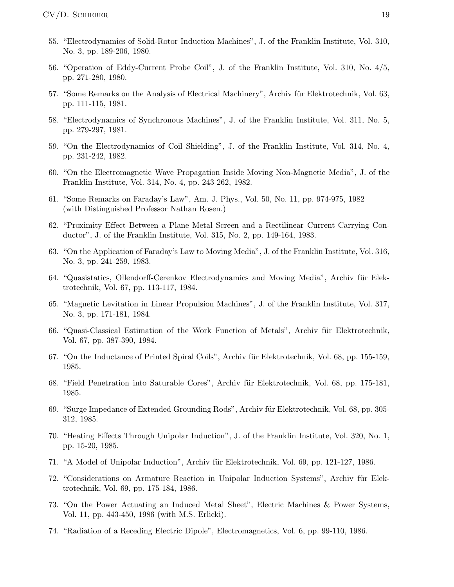- 55. "Electrodynamics of Solid-Rotor Induction Machines", J. of the Franklin Institute, Vol. 310, No. 3, pp. 189-206, 1980.
- 56. "Operation of Eddy-Current Probe Coil", J. of the Franklin Institute, Vol. 310, No. 4/5, pp. 271-280, 1980.
- 57. "Some Remarks on the Analysis of Electrical Machinery", Archiv für Elektrotechnik, Vol. 63, pp. 111-115, 1981.
- 58. "Electrodynamics of Synchronous Machines", J. of the Franklin Institute, Vol. 311, No. 5, pp. 279-297, 1981.
- 59. "On the Electrodynamics of Coil Shielding", J. of the Franklin Institute, Vol. 314, No. 4, pp. 231-242, 1982.
- 60. "On the Electromagnetic Wave Propagation Inside Moving Non-Magnetic Media", J. of the Franklin Institute, Vol. 314, No. 4, pp. 243-262, 1982.
- 61. "Some Remarks on Faraday's Law", Am. J. Phys., Vol. 50, No. 11, pp. 974-975, 1982 (with Distinguished Professor Nathan Rosen.)
- 62. "Proximity Effect Between a Plane Metal Screen and a Rectilinear Current Carrying Conductor", J. of the Franklin Institute, Vol. 315, No. 2, pp. 149-164, 1983.
- 63. "On the Application of Faraday's Law to Moving Media", J. of the Franklin Institute, Vol. 316, No. 3, pp. 241-259, 1983.
- 64. "Quasistatics, Ollendorff-Cerenkov Electrodynamics and Moving Media", Archiv für Elektrotechnik, Vol. 67, pp. 113-117, 1984.
- 65. "Magnetic Levitation in Linear Propulsion Machines", J. of the Franklin Institute, Vol. 317, No. 3, pp. 171-181, 1984.
- 66. "Quasi-Classical Estimation of the Work Function of Metals", Archiv für Elektrotechnik, Vol. 67, pp. 387-390, 1984.
- 67. "On the Inductance of Printed Spiral Coils", Archiv für Elektrotechnik, Vol. 68, pp. 155-159, 1985.
- 68. "Field Penetration into Saturable Cores", Archiv für Elektrotechnik, Vol. 68, pp. 175-181, 1985.
- 69. "Surge Impedance of Extended Grounding Rods", Archiv für Elektrotechnik, Vol. 68, pp. 305-312, 1985.
- 70. "Heating Effects Through Unipolar Induction", J. of the Franklin Institute, Vol. 320, No. 1, pp. 15-20, 1985.
- 71. "A Model of Unipolar Induction", Archiv für Elektrotechnik, Vol. 69, pp. 121-127, 1986.
- 72. "Considerations on Armature Reaction in Unipolar Induction Systems", Archiv für Elektrotechnik, Vol. 69, pp. 175-184, 1986.
- 73. "On the Power Actuating an Induced Metal Sheet", Electric Machines & Power Systems, Vol. 11, pp. 443-450, 1986 (with M.S. Erlicki).
- 74. "Radiation of a Receding Electric Dipole", Electromagnetics, Vol. 6, pp. 99-110, 1986.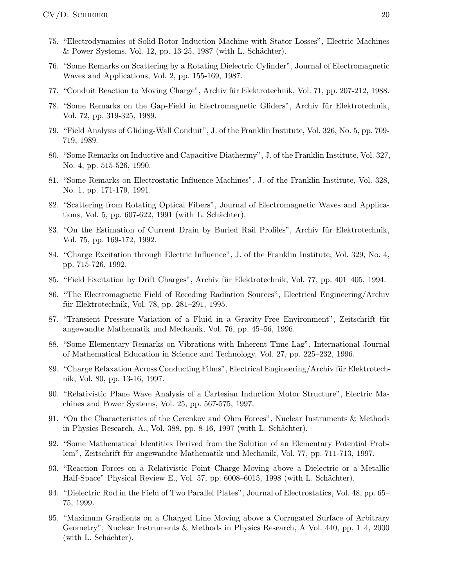- 75. "Electrodynamics of Solid-Rotor Induction Machine with Stator Losses", Electric Machines  $\&$  Power Systems, Vol. 12, pp. 13-25, 1987 (with L. Schächter).
- 76. "Some Remarks on Scattering by a Rotating Dielectric Cylinder", Journal of Electromagnetic Waves and Applications, Vol. 2, pp. 155-169, 1987.
- 77. "Conduit Reaction to Moving Charge", Archiv für Elektrotechnik, Vol. 71, pp. 207-212, 1988.
- 78. "Some Remarks on the Gap-Field in Electromagnetic Gliders", Archiv für Elektrotechnik, Vol. 72, pp. 319-325, 1989.
- 79. "Field Analysis of Gliding-Wall Conduit", J. of the Franklin Institute, Vol. 326, No. 5, pp. 709- 719, 1989.
- 80. "Some Remarks on Inductive and Capacitive Diathermy", J. of the Franklin Institute, Vol. 327, No. 4, pp. 515-526, 1990.
- 81. "Some Remarks on Electrostatic Influence Machines", J. of the Franklin Institute, Vol. 328, No. 1, pp. 171-179, 1991.
- 82. "Scattering from Rotating Optical Fibers", Journal of Electromagnetic Waves and Applications, Vol. 5, pp. 607-622, 1991 (with L. Schächter).
- 83. "On the Estimation of Current Drain by Buried Rail Profiles", Archiv für Elektrotechnik, Vol. 75, pp. 169-172, 1992.
- 84. "Charge Excitation through Electric Influence", J. of the Franklin Institute, Vol. 329, No. 4, pp. 715-726, 1992.
- 85. "Field Excitation by Drift Charges", Archiv für Elektrotechnik, Vol. 77, pp. 401–405, 1994.
- 86. "The Electromagnetic Field of Receding Radiation Sources", Electrical Engineering/Archiv für Elektrotechnik, Vol. 78, pp.  $281-291$ , 1995.
- 87. "Transient Pressure Variation of a Fluid in a Gravity-Free Environment", Zeitschrift für angewandte Mathematik und Mechanik, Vol. 76, pp. 45–56, 1996.
- 88. "Some Elementary Remarks on Vibrations with Inherent Time Lag", International Journal of Mathematical Education in Science and Technology, Vol. 27, pp. 225–232, 1996.
- 89. "Charge Relaxation Across Conducting Films", Electrical Engineering/Archiv für Elektrotechnik, Vol. 80, pp. 13-16, 1997.
- 90. "Relativistic Plane Wave Analysis of a Cartesian Induction Motor Structure", Electric Machines and Power Systems, Vol. 25, pp. 567-575, 1997.
- 91. "On the Characteristics of the Cerenkov and Ohm Forces", Nuclear Instruments & Methods in Physics Research, A., Vol. 388, pp. 8-16, 1997 (with L. Schächter).
- 92. "Some Mathematical Identities Derived from the Solution of an Elementary Potential Problem", Zeitschrift für angewandte Mathematik und Mechanik, Vol. 77, pp. 711-713, 1997.
- 93. "Reaction Forces on a Relativistic Point Charge Moving above a Dielectric or a Metallic Half-Space" Physical Review E., Vol. 57, pp. 6008–6015, 1998 (with L. Schächter).
- 94. "Dielectric Rod in the Field of Two Parallel Plates", Journal of Electrostatics, Vol. 48, pp. 65– 75, 1999.
- 95. "Maximum Gradients on a Charged Line Moving above a Corrugated Surface of Arbitrary Geometry", Nuclear Instruments & Methods in Physics Research, A Vol. 440, pp. 1–4, 2000 (with L. Schächter).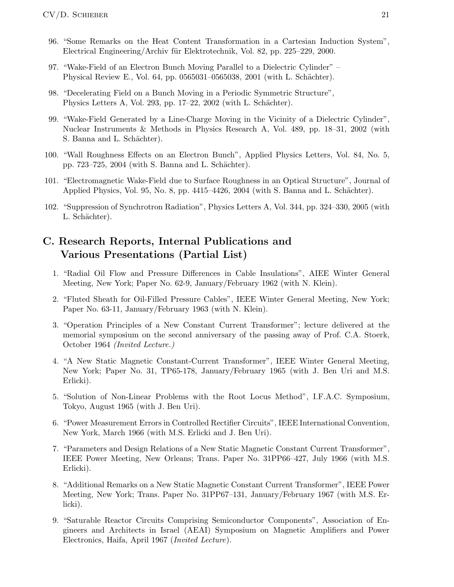- 96. "Some Remarks on the Heat Content Transformation in a Cartesian Induction System", Electrical Engineering/Archiv für Elektrotechnik, Vol. 82, pp. 225–229, 2000.
- 97. "Wake-Field of an Electron Bunch Moving Parallel to a Dielectric Cylinder" Physical Review E., Vol. 64, pp. 0565031–0565038, 2001 (with L. Schächter).
- 98. "Decelerating Field on a Bunch Moving in a Periodic Symmetric Structure", Physics Letters A, Vol. 293, pp. 17–22, 2002 (with L. Schächter).
- 99. "Wake-Field Generated by a Line-Charge Moving in the Vicinity of a Dielectric Cylinder", Nuclear Instruments & Methods in Physics Research A, Vol. 489, pp. 18–31, 2002 (with S. Banna and L. Schächter).
- 100. "Wall Roughness Effects on an Electron Bunch", Applied Physics Letters, Vol. 84, No. 5, pp. 723–725, 2004 (with S. Banna and L. Schächter).
- 101. "Electromagnetic Wake-Field due to Surface Roughness in an Optical Structure", Journal of Applied Physics, Vol. 95, No. 8, pp. 4415–4426, 2004 (with S. Banna and L. Schächter).
- 102. "Suppression of Synchrotron Radiation", Physics Letters A, Vol. 344, pp. 324–330, 2005 (with L. Schächter).

# C. Research Reports, Internal Publications and Various Presentations (Partial List)

- 1. "Radial Oil Flow and Pressure Differences in Cable Insulations", AIEE Winter General Meeting, New York; Paper No. 62-9, January/February 1962 (with N. Klein).
- 2. "Fluted Sheath for Oil-Filled Pressure Cables", IEEE Winter General Meeting, New York; Paper No. 63-11, January/February 1963 (with N. Klein).
- 3. "Operation Principles of a New Constant Current Transformer"; lecture delivered at the memorial symposium on the second anniversary of the passing away of Prof. C.A. Stoerk, October 1964 (Invited Lecture.)
- 4. "A New Static Magnetic Constant-Current Transformer", IEEE Winter General Meeting, New York; Paper No. 31, TP65-178, January/February 1965 (with J. Ben Uri and M.S. Erlicki).
- 5. "Solution of Non-Linear Problems with the Root Locus Method", I.F.A.C. Symposium, Tokyo, August 1965 (with J. Ben Uri).
- 6. "Power Measurement Errors in Controlled Rectifier Circuits", IEEE International Convention, New York, March 1966 (with M.S. Erlicki and J. Ben Uri).
- 7. "Parameters and Design Relations of a New Static Magnetic Constant Current Transformer", IEEE Power Meeting, New Orleans; Trans. Paper No. 31PP66–427, July 1966 (with M.S. Erlicki).
- 8. "Additional Remarks on a New Static Magnetic Constant Current Transformer", IEEE Power Meeting, New York; Trans. Paper No. 31PP67–131, January/February 1967 (with M.S. Erlicki).
- 9. "Saturable Reactor Circuits Comprising Semiconductor Components", Association of Engineers and Architects in Israel (AEAI) Symposium on Magnetic Amplifiers and Power Electronics, Haifa, April 1967 (Invited Lecture).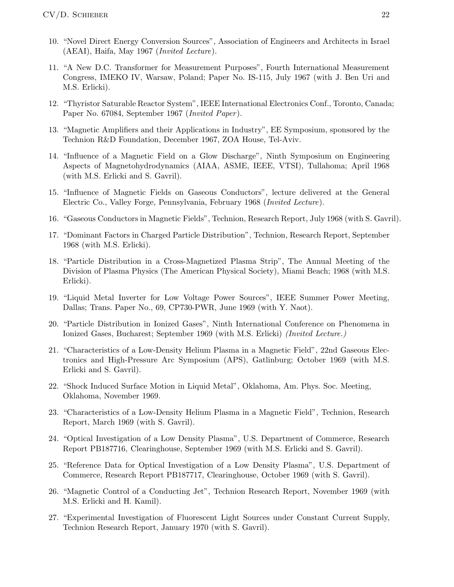- 10. "Novel Direct Energy Conversion Sources", Association of Engineers and Architects in Israel (AEAI), Haifa, May 1967 (Invited Lecture).
- 11. "A New D.C. Transformer for Measurement Purposes", Fourth International Measurement Congress, IMEKO IV, Warsaw, Poland; Paper No. IS-115, July 1967 (with J. Ben Uri and M.S. Erlicki).
- 12. "Thyristor Saturable Reactor System", IEEE International Electronics Conf., Toronto, Canada; Paper No. 67084, September 1967 (Invited Paper ).
- 13. "Magnetic Amplifiers and their Applications in Industry", EE Symposium, sponsored by the Technion R&D Foundation, December 1967, ZOA House, Tel-Aviv.
- 14. "Influence of a Magnetic Field on a Glow Discharge", Ninth Symposium on Engineering Aspects of Magnetohydrodynamics (AIAA, ASME, IEEE, VTSI), Tullahoma; April 1968 (with M.S. Erlicki and S. Gavril).
- 15. "Influence of Magnetic Fields on Gaseous Conductors", lecture delivered at the General Electric Co., Valley Forge, Pennsylvania, February 1968 (Invited Lecture).
- 16. "Gaseous Conductors in Magnetic Fields", Technion, Research Report, July 1968 (with S. Gavril).
- 17. "Dominant Factors in Charged Particle Distribution", Technion, Research Report, September 1968 (with M.S. Erlicki).
- 18. "Particle Distribution in a Cross-Magnetized Plasma Strip", The Annual Meeting of the Division of Plasma Physics (The American Physical Society), Miami Beach; 1968 (with M.S. Erlicki).
- 19. "Liquid Metal Inverter for Low Voltage Power Sources", IEEE Summer Power Meeting, Dallas; Trans. Paper No., 69, CP730-PWR, June 1969 (with Y. Naot).
- 20. "Particle Distribution in Ionized Gases", Ninth International Conference on Phenomena in Ionized Gases, Bucharest; September 1969 (with M.S. Erlicki) (Invited Lecture.)
- 21. "Characteristics of a Low-Density Helium Plasma in a Magnetic Field", 22nd Gaseous Electronics and High-Pressure Arc Symposium (APS), Gatlinburg; October 1969 (with M.S. Erlicki and S. Gavril).
- 22. "Shock Induced Surface Motion in Liquid Metal", Oklahoma, Am. Phys. Soc. Meeting, Oklahoma, November 1969.
- 23. "Characteristics of a Low-Density Helium Plasma in a Magnetic Field", Technion, Research Report, March 1969 (with S. Gavril).
- 24. "Optical Investigation of a Low Density Plasma", U.S. Department of Commerce, Research Report PB187716, Clearinghouse, September 1969 (with M.S. Erlicki and S. Gavril).
- 25. "Reference Data for Optical Investigation of a Low Density Plasma", U.S. Department of Commerce, Research Report PB187717, Clearinghouse, October 1969 (with S. Gavril).
- 26. "Magnetic Control of a Conducting Jet", Technion Research Report, November 1969 (with M.S. Erlicki and H. Kamil).
- 27. "Experimental Investigation of Fluorescent Light Sources under Constant Current Supply, Technion Research Report, January 1970 (with S. Gavril).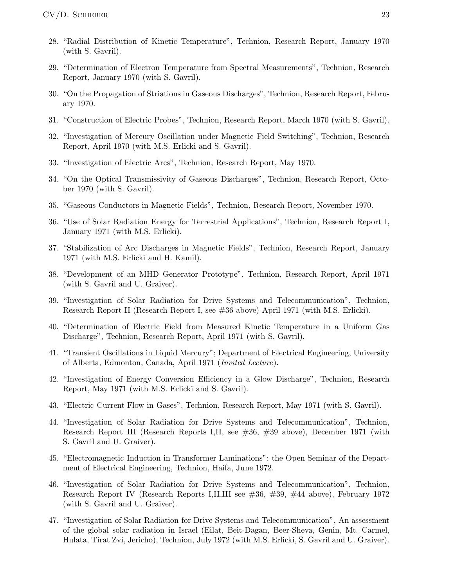- 28. "Radial Distribution of Kinetic Temperature", Technion, Research Report, January 1970 (with S. Gavril).
- 29. "Determination of Electron Temperature from Spectral Measurements", Technion, Research Report, January 1970 (with S. Gavril).
- 30. "On the Propagation of Striations in Gaseous Discharges", Technion, Research Report, February 1970.
- 31. "Construction of Electric Probes", Technion, Research Report, March 1970 (with S. Gavril).
- 32. "Investigation of Mercury Oscillation under Magnetic Field Switching", Technion, Research Report, April 1970 (with M.S. Erlicki and S. Gavril).
- 33. "Investigation of Electric Arcs", Technion, Research Report, May 1970.
- 34. "On the Optical Transmissivity of Gaseous Discharges", Technion, Research Report, October 1970 (with S. Gavril).
- 35. "Gaseous Conductors in Magnetic Fields", Technion, Research Report, November 1970.
- 36. "Use of Solar Radiation Energy for Terrestrial Applications", Technion, Research Report I, January 1971 (with M.S. Erlicki).
- 37. "Stabilization of Arc Discharges in Magnetic Fields", Technion, Research Report, January 1971 (with M.S. Erlicki and H. Kamil).
- 38. "Development of an MHD Generator Prototype", Technion, Research Report, April 1971 (with S. Gavril and U. Graiver).
- 39. "Investigation of Solar Radiation for Drive Systems and Telecommunication", Technion, Research Report II (Research Report I, see #36 above) April 1971 (with M.S. Erlicki).
- 40. "Determination of Electric Field from Measured Kinetic Temperature in a Uniform Gas Discharge", Technion, Research Report, April 1971 (with S. Gavril).
- 41. "Transient Oscillations in Liquid Mercury"; Department of Electrical Engineering, University of Alberta, Edmonton, Canada, April 1971 (Invited Lecture).
- 42. "Investigation of Energy Conversion Efficiency in a Glow Discharge", Technion, Research Report, May 1971 (with M.S. Erlicki and S. Gavril).
- 43. "Electric Current Flow in Gases", Technion, Research Report, May 1971 (with S. Gavril).
- 44. "Investigation of Solar Radiation for Drive Systems and Telecommunication", Technion, Research Report III (Research Reports I,II, see #36, #39 above), December 1971 (with S. Gavril and U. Graiver).
- 45. "Electromagnetic Induction in Transformer Laminations"; the Open Seminar of the Department of Electrical Engineering, Technion, Haifa, June 1972.
- 46. "Investigation of Solar Radiation for Drive Systems and Telecommunication", Technion, Research Report IV (Research Reports I,II,III see #36, #39, #44 above), February 1972 (with S. Gavril and U. Graiver).
- 47. "Investigation of Solar Radiation for Drive Systems and Telecommunication", An assessment of the global solar radiation in Israel (Eilat, Beit-Dagan, Beer-Sheva, Genin, Mt. Carmel, Hulata, Tirat Zvi, Jericho), Technion, July 1972 (with M.S. Erlicki, S. Gavril and U. Graiver).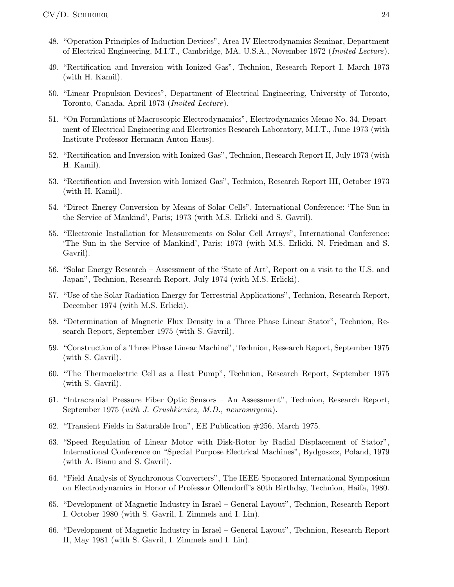- 48. "Operation Principles of Induction Devices", Area IV Electrodynamics Seminar, Department of Electrical Engineering, M.I.T., Cambridge, MA, U.S.A., November 1972 (Invited Lecture).
- 49. "Rectification and Inversion with Ionized Gas", Technion, Research Report I, March 1973 (with H. Kamil).
- 50. "Linear Propulsion Devices", Department of Electrical Engineering, University of Toronto, Toronto, Canada, April 1973 (Invited Lecture).
- 51. "On Formulations of Macroscopic Electrodynamics", Electrodynamics Memo No. 34, Department of Electrical Engineering and Electronics Research Laboratory, M.I.T., June 1973 (with Institute Professor Hermann Anton Haus).
- 52. "Rectification and Inversion with Ionized Gas", Technion, Research Report II, July 1973 (with H. Kamil).
- 53. "Rectification and Inversion with Ionized Gas", Technion, Research Report III, October 1973 (with H. Kamil).
- 54. "Direct Energy Conversion by Means of Solar Cells", International Conference: 'The Sun in the Service of Mankind', Paris; 1973 (with M.S. Erlicki and S. Gavril).
- 55. "Electronic Installation for Measurements on Solar Cell Arrays", International Conference: 'The Sun in the Service of Mankind', Paris; 1973 (with M.S. Erlicki, N. Friedman and S. Gavril).
- 56. "Solar Energy Research Assessment of the 'State of Art', Report on a visit to the U.S. and Japan", Technion, Research Report, July 1974 (with M.S. Erlicki).
- 57. "Use of the Solar Radiation Energy for Terrestrial Applications", Technion, Research Report, December 1974 (with M.S. Erlicki).
- 58. "Determination of Magnetic Flux Density in a Three Phase Linear Stator", Technion, Research Report, September 1975 (with S. Gavril).
- 59. "Construction of a Three Phase Linear Machine", Technion, Research Report, September 1975 (with S. Gavril).
- 60. "The Thermoelectric Cell as a Heat Pump", Technion, Research Report, September 1975 (with S. Gavril).
- 61. "Intracranial Pressure Fiber Optic Sensors An Assessment", Technion, Research Report, September 1975 (with J. Grushkievicz, M.D., neurosurgeon).
- 62. "Transient Fields in Saturable Iron", EE Publication #256, March 1975.
- 63. "Speed Regulation of Linear Motor with Disk-Rotor by Radial Displacement of Stator", International Conference on "Special Purpose Electrical Machines", Bydgoszcz, Poland, 1979 (with A. Bianu and S. Gavril).
- 64. "Field Analysis of Synchronous Converters", The IEEE Sponsored International Symposium on Electrodynamics in Honor of Professor Ollendorff's 80th Birthday, Technion, Haifa, 1980.
- 65. "Development of Magnetic Industry in Israel General Layout", Technion, Research Report I, October 1980 (with S. Gavril, I. Zimmels and I. Lin).
- 66. "Development of Magnetic Industry in Israel General Layout", Technion, Research Report II, May 1981 (with S. Gavril, I. Zimmels and I. Lin).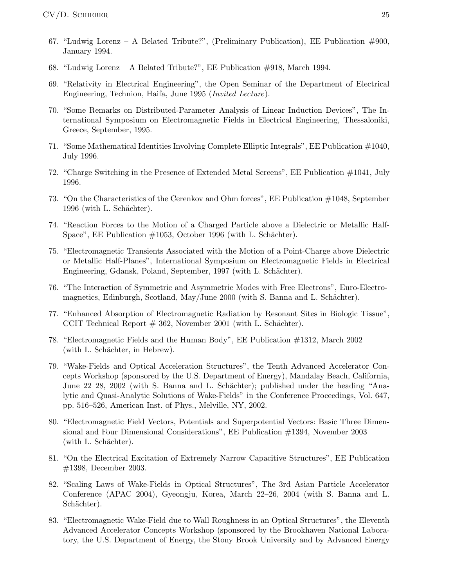- 67. "Ludwig Lorenz A Belated Tribute?", (Preliminary Publication), EE Publication  $\#900$ , January 1994.
- 68. "Ludwig Lorenz A Belated Tribute?", EE Publication #918, March 1994.
- 69. "Relativity in Electrical Engineering", the Open Seminar of the Department of Electrical Engineering, Technion, Haifa, June 1995 (Invited Lecture).
- 70. "Some Remarks on Distributed-Parameter Analysis of Linear Induction Devices", The International Symposium on Electromagnetic Fields in Electrical Engineering, Thessaloniki, Greece, September, 1995.
- 71. "Some Mathematical Identities Involving Complete Elliptic Integrals", EE Publication #1040, July 1996.
- 72. "Charge Switching in the Presence of Extended Metal Screens", EE Publication #1041, July 1996.
- 73. "On the Characteristics of the Cerenkov and Ohm forces", EE Publication #1048, September 1996 (with L. Schächter).
- 74. "Reaction Forces to the Motion of a Charged Particle above a Dielectric or Metallic Half-Space", EE Publication  $\#1053$ , October 1996 (with L. Schächter).
- 75. "Electromagnetic Transients Associated with the Motion of a Point-Charge above Dielectric or Metallic Half-Planes", International Symposium on Electromagnetic Fields in Electrical Engineering, Gdansk, Poland, September, 1997 (with L. Schächter).
- 76. "The Interaction of Symmetric and Asymmetric Modes with Free Electrons", Euro-Electromagnetics, Edinburgh, Scotland, May/June 2000 (with S. Banna and L. Schächter).
- 77. "Enhanced Absorption of Electromagnetic Radiation by Resonant Sites in Biologic Tissue", CCIT Technical Report  $# 362$ , November 2001 (with L. Schächter).
- 78. "Electromagnetic Fields and the Human Body", EE Publication #1312, March 2002 (with L. Schächter, in Hebrew).
- 79. "Wake-Fields and Optical Acceleration Structures", the Tenth Advanced Accelerator Concepts Workshop (sponsored by the U.S. Department of Energy), Mandalay Beach, California, June 22–28, 2002 (with S. Banna and L. Schächter); published under the heading "Analytic and Quasi-Analytic Solutions of Wake-Fields" in the Conference Proceedings, Vol. 647, pp. 516–526, American Inst. of Phys., Melville, NY, 2002.
- 80. "Electromagnetic Field Vectors, Potentials and Superpotential Vectors: Basic Three Dimensional and Four Dimensional Considerations", EE Publication #1394, November 2003  $(\text{with } L. \text{ Schächter}).$
- 81. "On the Electrical Excitation of Extremely Narrow Capacitive Structures", EE Publication #1398, December 2003.
- 82. "Scaling Laws of Wake-Fields in Optical Structures", The 3rd Asian Particle Accelerator Conference (APAC 2004), Gyeongju, Korea, March 22–26, 2004 (with S. Banna and L. Schächter).
- 83. "Electromagnetic Wake-Field due to Wall Roughness in an Optical Structures", the Eleventh Advanced Accelerator Concepts Workshop (sponsored by the Brookhaven National Laboratory, the U.S. Department of Energy, the Stony Brook University and by Advanced Energy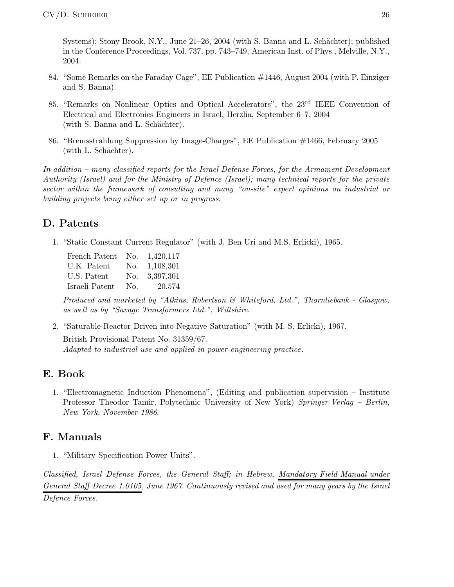Systems); Stony Brook, N.Y., June 21–26, 2004 (with S. Banna and L. Schächter); published in the Conference Proceedings, Vol. 737, pp. 743–749, American Inst. of Phys., Melville, N.Y., 2004.

- 84. "Some Remarks on the Faraday Cage", EE Publication #1446, August 2004 (with P. Einziger and S. Banna).
- 85. "Remarks on Nonlinear Optics and Optical Accelerators", the 23rd IEEE Convention of Electrical and Electronics Engineers in Israel, Herzlia, September 6–7, 2004 (with S. Banna and L. Schächter).
- 86. "Bremsstrahlung Suppression by Image-Charges", EE Publication #1466, February 2005 (with L. Schächter).

In addition – many classified reports for the Israel Defense Forces, for the Armament Development Authority (Israel) and for the Ministry of Defence (Israel); many technical reports for the private sector within the framework of consulting and many "on-site" expert opinions on industrial or building projects being either set up or in progress.

# D. Patents

1. "Static Constant Current Regulator" (with J. Ben Uri and M.S. Erlicki), 1965.

| French Patent  | No. | 1,420,117 |
|----------------|-----|-----------|
| U.K. Patent    | No. | 1,108,301 |
| U.S. Patent    | No. | 3,397,301 |
| Israeli Patent | No. | 20,574    |

Produced and marketed by "Atkins, Robertson & Whiteford, Ltd.", Thornliebank - Glasgow, as well as by "Savage Transformers Ltd.", Wiltshire.

2. "Saturable Reactor Driven into Negative Saturation" (with M. S. Erlicki), 1967. British Provisional Patent No. 31359/67. Adapted to industrial use and applied in power-engineering practice.

# E. Book

1. "Electromagnetic Induction Phenomena", (Editing and publication supervision – Institute Professor Theodor Tamir, Polytechnic University of New York) Springer-Verlag – Berlin, New York, November 1986.

# F. Manuals

1. "Military Specification Power Units".

Classified, Israel Defense Forces, the General Staff; in Hebrew, Mandatory Field Manual under General Staff Decree 1.0105, June 1967. Continuously revised and used for many years by the Israel

Defence Forces.